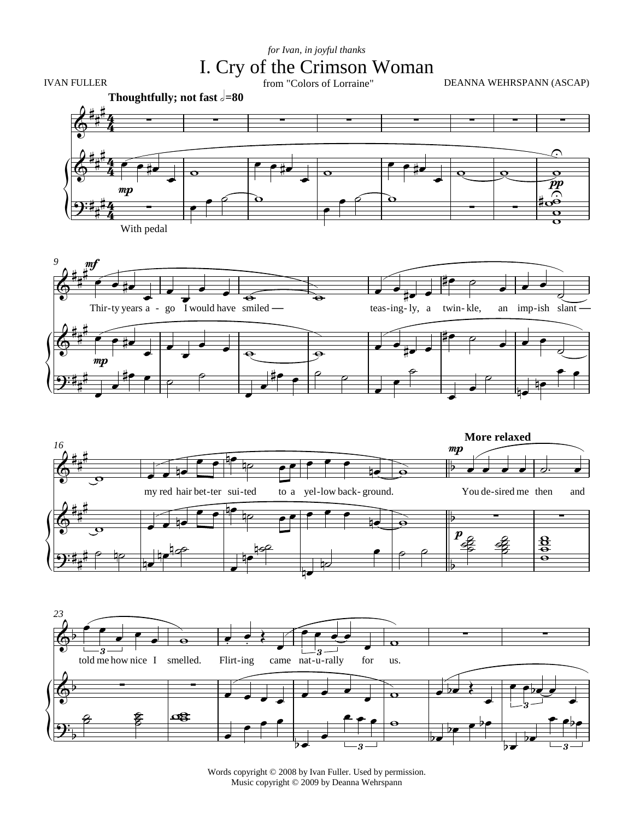## I. Cry of the Crimson Woman *for Ivan, in joyful thanks*





 $\overline{\phantom{a}}$ 

Words copyright © 2008 by Ivan Fuller. Used by permission. Music copyright © 2009 by Deanna Wehrspann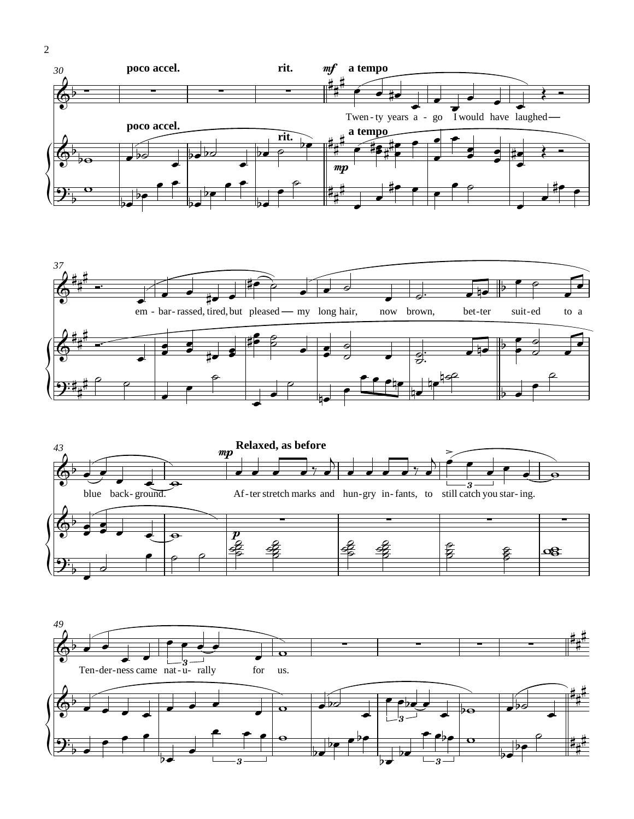